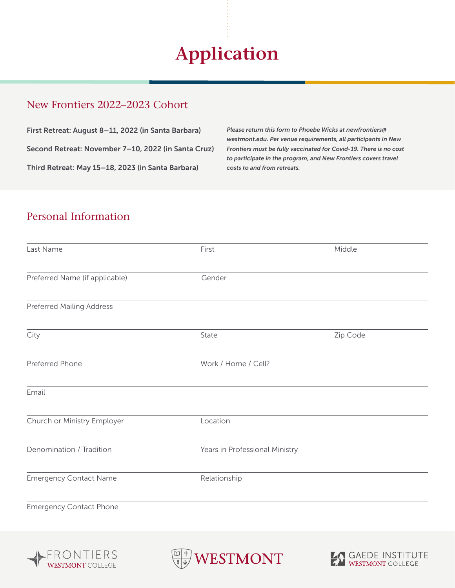# **Application**

## New Frontiers 2022–2023 Cohort

First Retreat: August 8–11, 2022 (in Santa Barbara) Second Retreat: November 7–10, 2022 (in Santa Cruz) Third Retreat: May 15–18, 2023 (in Santa Barbara)

*Please return this form to Phoebe Wicks at newfrontiers@ westmont.edu. Per venue requirements, all participants in New Frontiers must be fully vaccinated for Covid-19. There is no cost to participate in the program, and New Frontiers covers travel costs to and from retreats.*

## Personal Information

| Last Name                      | First                          | Middle   |
|--------------------------------|--------------------------------|----------|
| Preferred Name (if applicable) | Gender                         |          |
| Preferred Mailing Address      |                                |          |
| City                           | State                          | Zip Code |
| Preferred Phone                | Work / Home / Cell?            |          |
| Email                          |                                |          |
| Church or Ministry Employer    | Location                       |          |
| Denomination / Tradition       | Years in Professional Ministry |          |
| <b>Emergency Contact Name</b>  | Relationship                   |          |
| <b>Emergency Contact Phone</b> |                                |          |





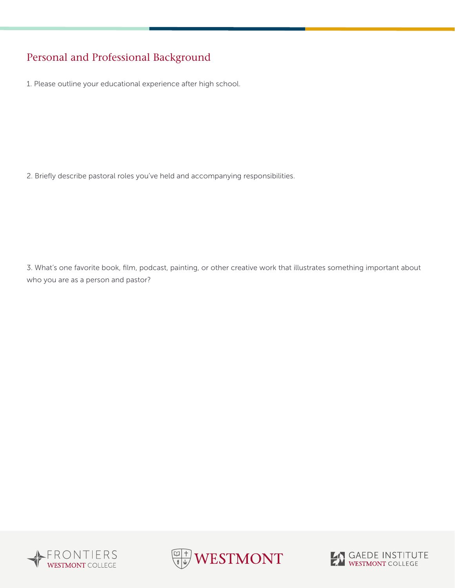# Personal and Professional Background

1. Please outline your educational experience after high school.

2. Briefly describe pastoral roles you've held and accompanying responsibilities.

3. What's one favorite book, film, podcast, painting, or other creative work that illustrates something important about who you are as a person and pastor?





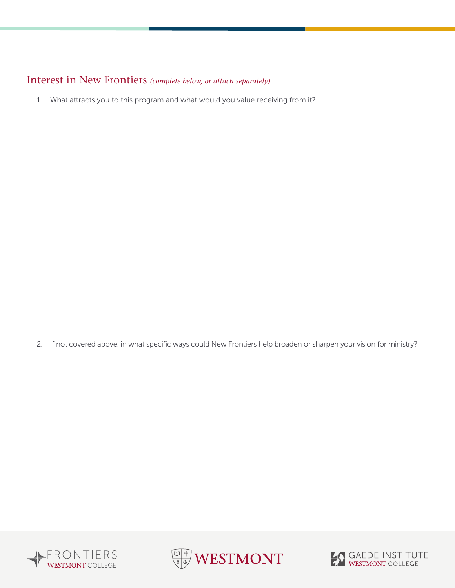#### Interest in New Frontiers *(complete below, or attach separately)*

1. What attracts you to this program and what would you value receiving from it?

2. If not covered above, in what specific ways could New Frontiers help broaden or sharpen your vision for ministry?





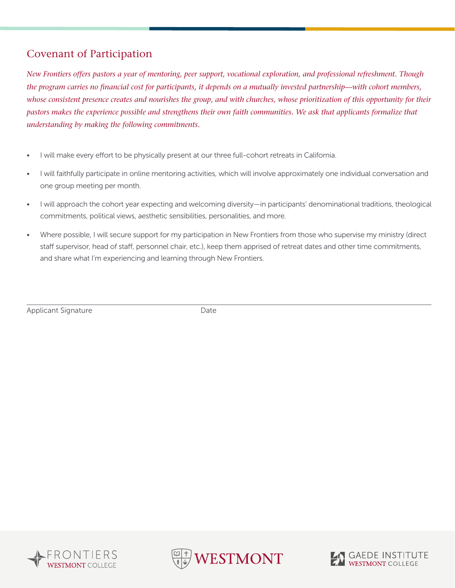# Covenant of Participation

*New Frontiers offers pastors a year of mentoring, peer support, vocational exploration, and professional refreshment. Though the program carries no financial cost for participants, it depends on a mutually invested partnership—with cohort members, whose consistent presence creates and nourishes the group, and with churches, whose prioritization of this opportunity for their pastors makes the experience possible and strengthens their own faith communities. We ask that applicants formalize that understanding by making the following commitments.*

- I will make every effort to be physically present at our three full-cohort retreats in California.
- I will faithfully participate in online mentoring activities, which will involve approximately one individual conversation and one group meeting per month.
- I will approach the cohort year expecting and welcoming diversity—in participants' denominational traditions, theological commitments, political views, aesthetic sensibilities, personalities, and more.
- Where possible, I will secure support for my participation in New Frontiers from those who supervise my ministry (direct staff supervisor, head of staff, personnel chair, etc.), keep them apprised of retreat dates and other time commitments, and share what I'm experiencing and learning through New Frontiers.

Applicant Signature Date